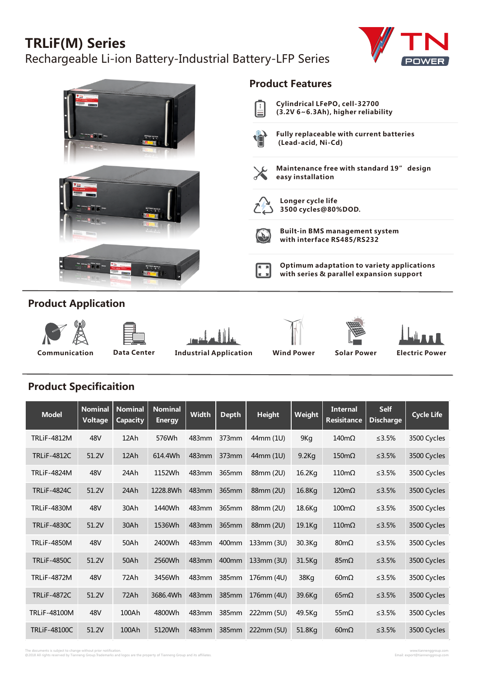# **TRLiF(M) Series**

Rechargeable Li-ion Battery-Industrial Battery-LFP Series





## **Product Application**











**Communication Data Center Industrial Application Wind Power Solar Power Electric Power**

## **Product Specificaition**

| <b>Model</b>        | <b>Nominal</b><br>Voltage | <b>Nominal</b><br><b>Capacity</b> | <b>Nominal</b><br><b>Energy</b> | <b>Width</b> | <b>Depth</b> | <b>Height</b>  | Weight             | <b>Internal</b><br><b>Resisitance</b> | <b>Self</b><br><b>Discharge</b> | <b>Cycle Life</b> |
|---------------------|---------------------------|-----------------------------------|---------------------------------|--------------|--------------|----------------|--------------------|---------------------------------------|---------------------------------|-------------------|
| <b>TRLiF-4812M</b>  | 48V                       | 12Ah                              | 576Wh                           | 483mm        | 373mm        | 44mm (1U)      | 9Kg                | $140m\Omega$                          | ≤ $3.5%$                        | 3500 Cycles       |
| <b>TRLiF-4812C</b>  | 51.2V                     | 12Ah                              | 614.4Wh                         | 483mm        | 373mm        | $44$ mm $(1U)$ | $9.2$ Kg           | $150 \text{m}\Omega$                  | ≤ $3.5%$                        | 3500 Cycles       |
| <b>TRLiF-4824M</b>  | 48V                       | 24Ah                              | 1152Wh                          | 483mm        | 365mm        | 88mm (2U)      | 16.2Kg             | $110 \text{m}\Omega$                  | ≤3.5%                           | 3500 Cycles       |
| <b>TRLiF-4824C</b>  | 51.2V                     | 24Ah                              | 1228.8Wh                        | 483mm        | 365mm        | 88mm (2U)      | 16.8Kg             | $120 \text{m}\Omega$                  | ≤ $3.5%$                        | 3500 Cycles       |
| <b>TRLiF-4830M</b>  | 48V                       | 30Ah                              | 1440Wh                          | 483mm        | 365mm        | 88mm (2U)      | 18.6Kg             | $100 \text{m}\Omega$                  | ≤ $3.5%$                        | 3500 Cycles       |
| <b>TRLiF-4830C</b>  | 51.2V                     | 30Ah                              | 1536Wh                          | 483mm        | 365mm        | 88mm (2U)      | 19.1Kg             | $110 \text{m}\Omega$                  | ≤3.5%                           | 3500 Cycles       |
| <b>TRLiF-4850M</b>  | 48V                       | 50Ah                              | 2400Wh                          | 483mm        | 400mm        | 133mm (3U)     | 30.3Kg             | $80m\Omega$                           | ≤ $3.5%$                        | 3500 Cycles       |
| <b>TRLiF-4850C</b>  | 51.2V                     | 50Ah                              | 2560Wh                          | 483mm        | 400mm        | 133mm (3U)     | 31.5Kg             | $85m\Omega$                           | $≤3.5\%$                        | 3500 Cycles       |
| <b>TRLiF-4872M</b>  | 48V                       | 72Ah                              | 3456Wh                          | 483mm        | 385mm        | 176mm (4U)     | 38Kg               | $60m\Omega$                           | ≤ $3.5%$                        | 3500 Cycles       |
| <b>TRLiF-4872C</b>  | 51.2V                     | 72Ah                              | 3686.4Wh                        | 483mm        | 385mm        | 176mm (4U)     | 39.6Kg             | $65m\Omega$                           | ≤3.5%                           | 3500 Cycles       |
| TRLiF-48100M        | 48V                       | 100Ah                             | 4800Wh                          | 483mm        | 385mm        | 222mm (5U)     | 49.5Kg             | 55m $\Omega$                          | ≤ $3.5%$                        | 3500 Cycles       |
| <b>TRLiF-48100C</b> | 51.2V                     | 100Ah                             | 5120Wh                          | 483mm        | 385mm        | 222mm (5U)     | 51.8 <sub>Kg</sub> | $60m\Omega$                           | ≤ $3.5%$                        | 3500 Cycles       |

The documents is subject to change with the documents reserved by the documents and its and the documents of the documents of the documents of the documents of the documents of the documents of the documents of the documen